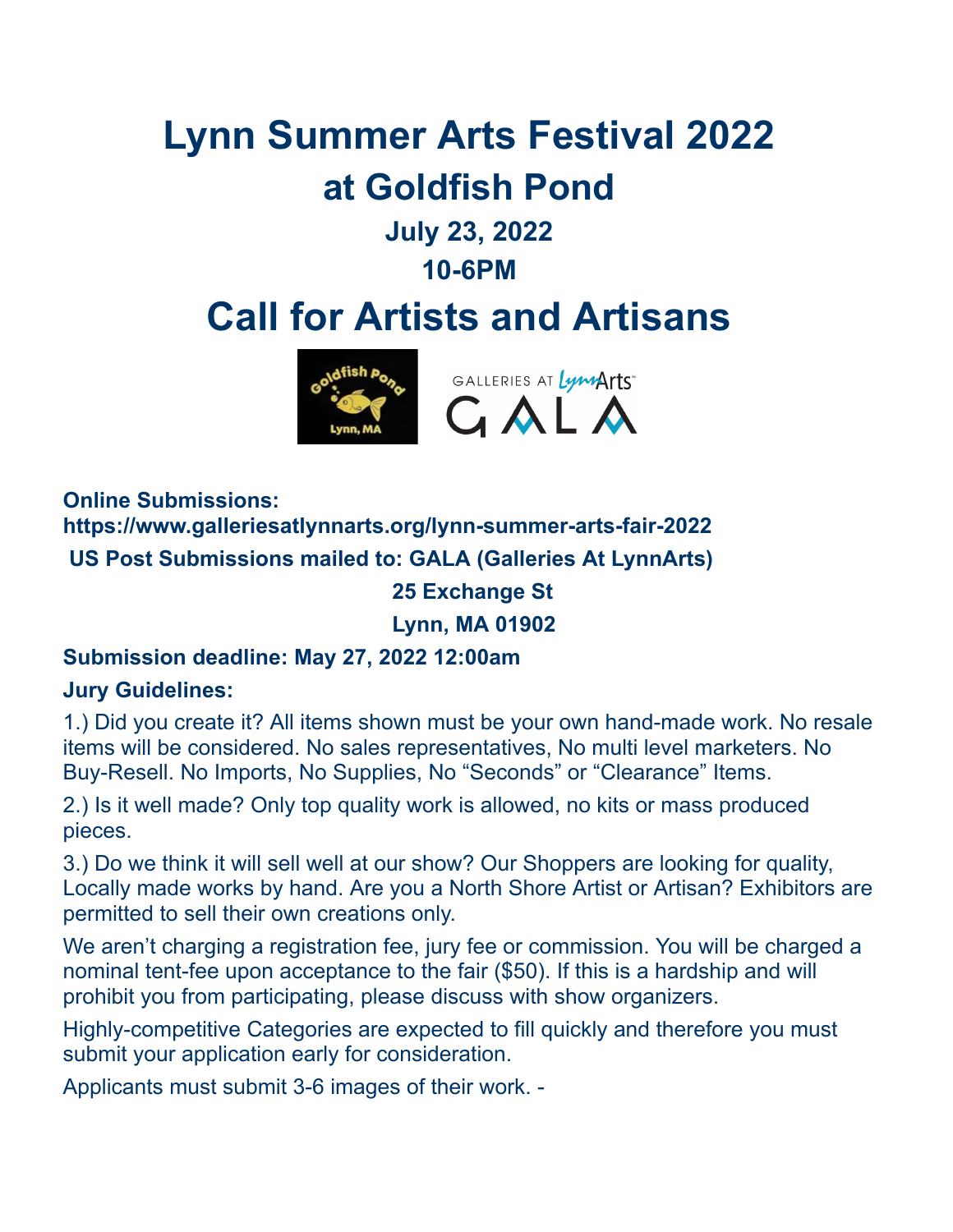# **Lynn Summer Arts Festival 2022 at Goldfish Pond July 23, 2022**

**10-6PM**

# **Call for Artists and Artisans**



**Online Submissions: https://www.galleriesatlynnarts.org/lynn-summer-arts-fair-2022 US Post Submissions mailed to: GALA (Galleries At LynnArts) 25 Exchange St**

**Lynn, MA 01902**

### **Submission deadline: May 27, 2022 12:00am**

#### **Jury Guidelines:**

1.) Did you create it? All items shown must be your own hand-made work. No resale items will be considered. No sales representatives, No multi level marketers. No Buy-Resell. No Imports, No Supplies, No "Seconds" or "Clearance" Items.

2.) Is it well made? Only top quality work is allowed, no kits or mass produced pieces.

3.) Do we think it will sell well at our show? Our Shoppers are looking for quality, Locally made works by hand. Are you a North Shore Artist or Artisan? Exhibitors are permitted to sell their own creations only.

We aren't charging a registration fee, jury fee or commission. You will be charged a nominal tent-fee upon acceptance to the fair (\$50). If this is a hardship and will prohibit you from participating, please discuss with show organizers.

Highly-competitive Categories are expected to fill quickly and therefore you must submit your application early for consideration.

Applicants must submit 3-6 images of their work. -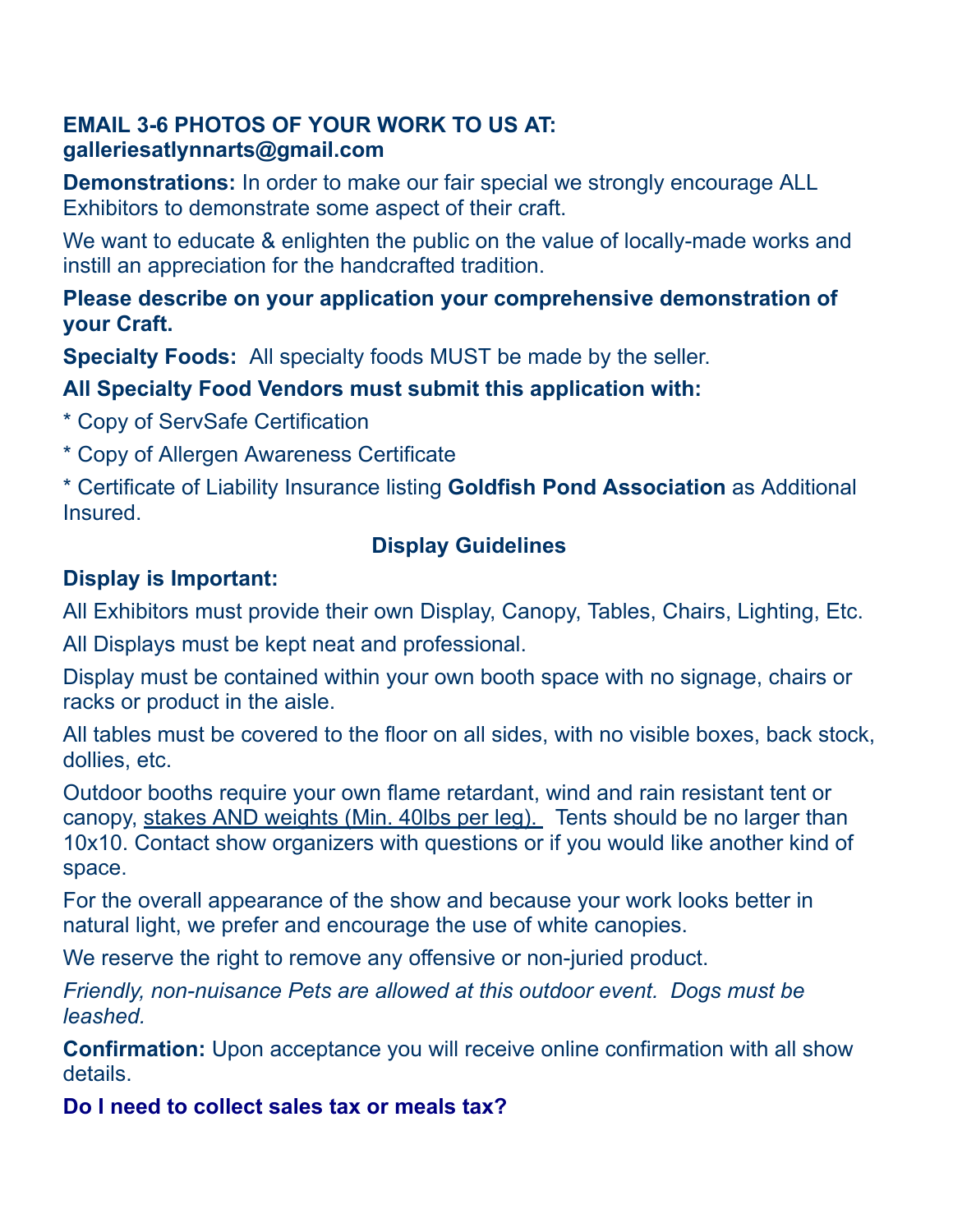#### **EMAIL 3-6 PHOTOS OF YOUR WORK TO US AT: galleriesatlynnarts@gmail.com**

**Demonstrations:** In order to make our fair special we strongly encourage ALL Exhibitors to demonstrate some aspect of their craft.

We want to educate & enlighten the public on the value of locally-made works and instill an appreciation for the handcrafted tradition.

#### **Please describe on your application your comprehensive demonstration of your Craft.**

**Specialty Foods:** All specialty foods MUST be made by the seller.

### **All Specialty Food Vendors must submit this application with:**

- \* Copy of ServSafe Certification
- \* Copy of Allergen Awareness Certificate

\* Certificate of Liability Insurance listing **Goldfish Pond Association** as Additional Insured.

### **Display Guidelines**

## **Display is Important:**

All Exhibitors must provide their own Display, Canopy, Tables, Chairs, Lighting, Etc.

All Displays must be kept neat and professional.

Display must be contained within your own booth space with no signage, chairs or racks or product in the aisle.

All tables must be covered to the floor on all sides, with no visible boxes, back stock, dollies, etc.

Outdoor booths require your own flame retardant, wind and rain resistant tent or canopy, stakes AND weights (Min. 40lbs per leg). Tents should be no larger than 10x10. Contact show organizers with questions or if you would like another kind of space.

For the overall appearance of the show and because your work looks better in natural light, we prefer and encourage the use of white canopies.

We reserve the right to remove any offensive or non-juried product.

*Friendly, non-nuisance Pets are allowed at this outdoor event. Dogs must be leashed.*

**Confirmation:** Upon acceptance you will receive online confirmation with all show details.

**Do I need to collect sales tax or meals tax?**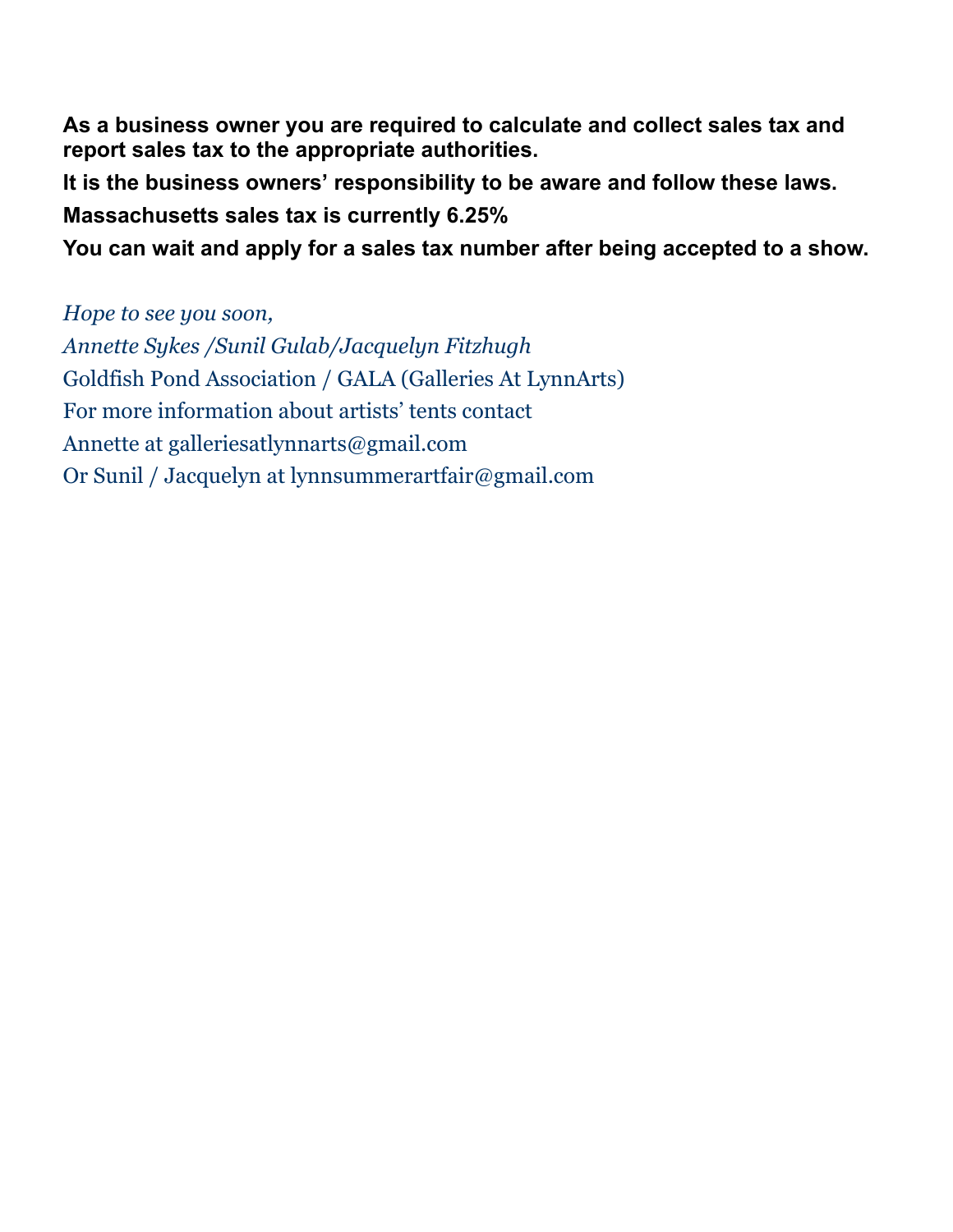**As a business owner you are required to calculate and collect sales tax and report sales tax to the appropriate authorities.**

**It is the business owners' responsibility to be aware and follow these laws. Massachusetts sales tax is currently 6.25%**

**You can wait and apply for a sales tax number after being accepted to a show.**

*Hope to see you soon, Annette Sykes /Sunil Gulab/Jacquelyn Fitzhugh* Goldfish Pond Association / GALA (Galleries At LynnArts) For more information about artists' tents contact Annette at galleriesatlynnarts@gmail.com Or Sunil / Jacquelyn at lynnsummerartfair@gmail.com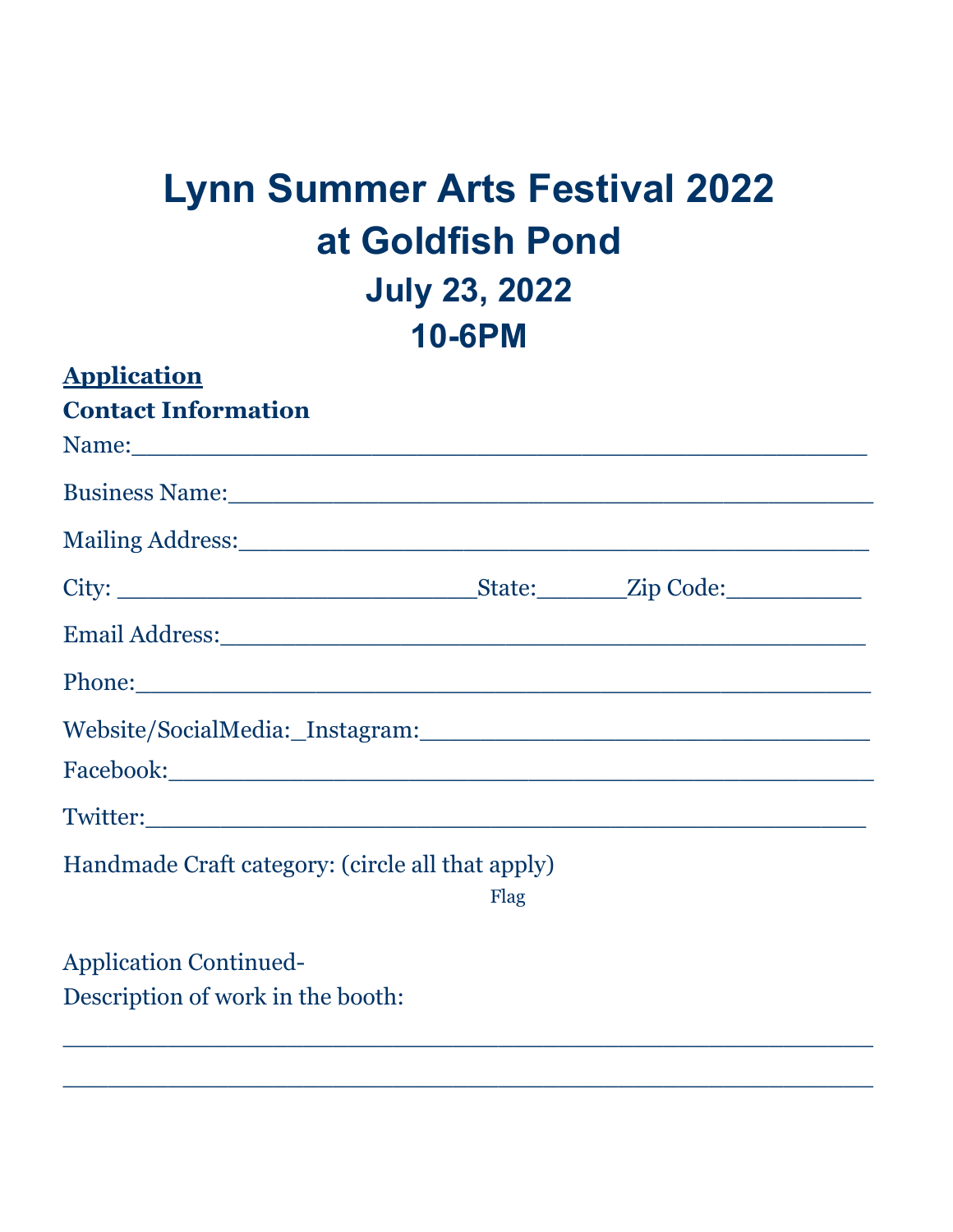# **Lynn Summer Arts Festival 2022 at Goldfish Pond July 23, 2022 10-6PM**

| <b>Application</b>                                                                                                                                                                                                            |      |  |
|-------------------------------------------------------------------------------------------------------------------------------------------------------------------------------------------------------------------------------|------|--|
| <b>Contact Information</b>                                                                                                                                                                                                    |      |  |
| Name: Name and the second contract of the second contract of the second contract of the second contract of the second contract of the second contract of the second contract of the second contract of the second contract of |      |  |
|                                                                                                                                                                                                                               |      |  |
|                                                                                                                                                                                                                               |      |  |
|                                                                                                                                                                                                                               |      |  |
|                                                                                                                                                                                                                               |      |  |
|                                                                                                                                                                                                                               |      |  |
|                                                                                                                                                                                                                               |      |  |
|                                                                                                                                                                                                                               |      |  |
|                                                                                                                                                                                                                               |      |  |
| Handmade Craft category: (circle all that apply)                                                                                                                                                                              |      |  |
|                                                                                                                                                                                                                               | Flag |  |
| <b>Application Continued-</b>                                                                                                                                                                                                 |      |  |

 $\_$  . The contract of the contract of the contract of the contract of the contract of the contract of the contract of the contract of the contract of the contract of the contract of the contract of the contract of the con

 $\_$  , and the set of the set of the set of the set of the set of the set of the set of the set of the set of the set of the set of the set of the set of the set of the set of the set of the set of the set of the set of th

Description of work in the booth: